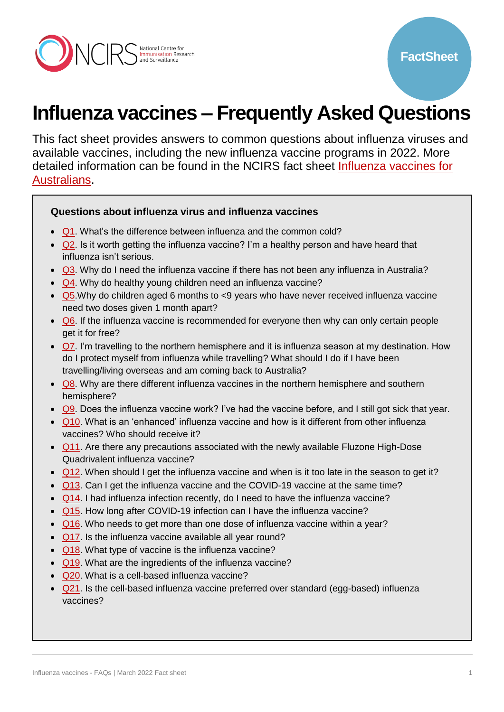

# **Influenza vaccines – Frequently Asked Questions**

This fact sheet provides answers to common questions about influenza viruses and available vaccines, including the new influenza vaccine programs in 2022. More detailed information can be found in the NCIRS fact sheet [Influenza vaccines for](http://ncirs.org.au/ncirs-fact-sheets-faqs/influenza-vaccines-australians)  [Australians.](http://ncirs.org.au/ncirs-fact-sheets-faqs/influenza-vaccines-australians)

#### **Questions about influenza virus and influenza vaccines**

- [Q1.](#page-1-0) What's the difference between influenza and the common cold?
- $\bullet$   $\overline{Q2}$ . Is it worth getting the influenza vaccine? I'm a healthy person and have heard that influenza isn't serious.
- **Q3**. Why do I need the influenza vaccine if there has not been any influenza in Australia?
- [Q4.](#page-2-2) Why do healthy young children need an influenza vaccine?
- [Q5.](#page-3-0) Why do children aged 6 months to <9 years who have never received influenza vaccine need two doses given 1 month apart?
- [Q6.](#page-3-1) If the influenza vaccine is recommended for everyone then why can only certain people get it for free?
- $\bullet$  [Q7.](#page-3-2) I'm travelling to the northern hemisphere and it is influenza season at my destination. How do I protect myself from influenza while travelling? What should I do if I have been travelling/living overseas and am coming back to Australia?
- [Q8.](#page-4-0) Why are there different influenza vaccines in the northern hemisphere and southern hemisphere?
- $\bullet$   $\overline{Q9}$ . Does the influenza vaccine work? I've had the vaccine before, and I still got sick that year.
- [Q10.](#page-5-0) What is an 'enhanced' influenza vaccine and how is it different from other influenza vaccines? Who should receive it?
- [Q11.](#page-5-1) Are there any precautions associated with the newly available Fluzone High-Dose Quadrivalent influenza vaccine?
- [Q12.](#page-5-2) When should I get the influenza vaccine and when is it too late in the season to get it?
- [Q13.](#page-6-0) Can I get the influenza vaccine and the COVID-19 vaccine at the same time?
- [Q14.](#page-6-1) I had influenza infection recently, do I need to have the influenza vaccine?
- [Q15.](#page-6-2) How long after COVID-19 infection can I have the influenza vaccine?
- [Q16.](#page-6-3) Who needs to get more than one dose of influenza vaccine within a year?
- [Q17.](#page-7-0) Is the influenza vaccine available all year round?
- [Q18.](#page-7-1) What type of vaccine is the influenza vaccine?
- [Q19.](#page-7-2) What are the ingredients of the influenza vaccine?
- [Q20.](#page-7-3) What is a cell-based influenza vaccine?
- [Q21.](#page-8-0) Is the cell-based influenza vaccine preferred over standard (egg-based) influenza vaccines?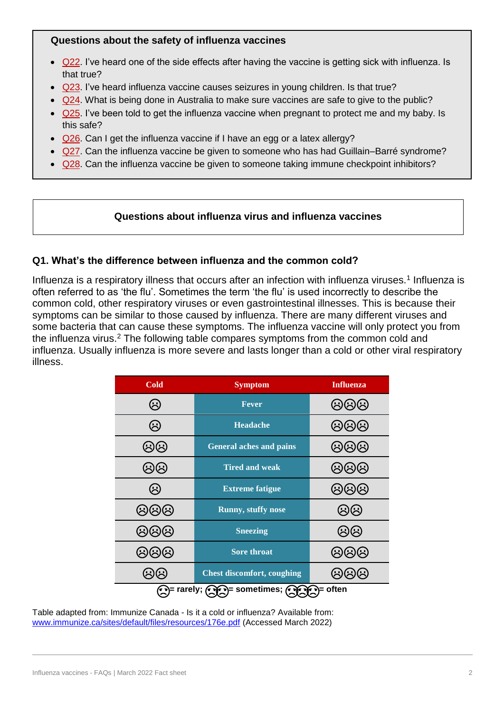# **Questions about the safety of influenza vaccines**

- [Q22.](#page-8-1) I've heard one of the side effects after having the vaccine is getting sick with influenza. Is that true?
- [Q23.](#page-8-2) I've heard influenza vaccine causes seizures in young children. Is that true?
- [Q24.](#page-9-0) What is being done in Australia to make sure vaccines are safe to give to the public?
- [Q25.](#page-9-1) I've been told to get the influenza vaccine when pregnant to protect me and my baby. Is this safe?
- [Q26.](#page-10-0) Can I get the influenza vaccine if I have an egg or a latex allergy?
- [Q27.](#page-10-1) Can the influenza vaccine be given to someone who has had Guillain–Barré syndrome?
- [Q28.](#page-11-0) Can the influenza vaccine be given to someone taking immune checkpoint inhibitors?

# **Questions about influenza virus and influenza vaccines**

# <span id="page-1-0"></span>**Q1. What's the difference between influenza and the common cold?**

Influenza is a respiratory illness that occurs after an infection with influenza viruses.<sup>1</sup> Influenza is often referred to as 'the flu'. Sometimes the term 'the flu' is used incorrectly to describe the common cold, other respiratory viruses or even gastrointestinal illnesses. This is because their symptoms can be similar to those caused by influenza. There are many different viruses and some bacteria that can cause these symptoms. The influenza vaccine will only protect you from the influenza virus.<sup>2</sup> The following table compares symptoms from the common cold and influenza. Usually influenza is more severe and lasts longer than a cold or other viral respiratory illness.

| <b>Cold</b>                                                                                | <b>Symptom</b>                    | <b>Influenza</b>                             |
|--------------------------------------------------------------------------------------------|-----------------------------------|----------------------------------------------|
| $\left(\!\!\left.\mathbin{\dot{\hspace{-.1em}\cdot\hspace{-.1em}\smash{.}}}\right.\right)$ | <b>Fever</b>                      | しんに                                          |
| $\mathbb{G}$                                                                               | <b>Headache</b>                   | Ġ,<br>$\widetilde{\mathcal{C}}$<br>$(\cdot)$ |
| $\left(\!\!\leftarrow\!\!\right)\!\!\left(\!\!\leftarrow\!\!\right)$                       | <b>General aches and pains</b>    | <b>@@@</b>                                   |
| $(\cdot)$                                                                                  | <b>Tired and weak</b>             | (5)(5)(5)                                    |
| ඹ                                                                                          | <b>Extreme fatigue</b>            | ශශශ                                          |
| 444                                                                                        | <b>Runny, stuffy nose</b>         | $(\succ)$                                    |
| $\left(\frac{1}{2}\right)$<br>$\left(\ddot{\cdot}\right)$<br>$\hat{S}$                     | <b>Sneezing</b>                   | $(\succ$                                     |
|                                                                                            | <b>Sore throat</b>                |                                              |
|                                                                                            | <b>Chest discomfort, coughing</b> |                                              |
| ͡••)= rarely;<br>িশ <sup>্ব</sup> = often                                                  |                                   |                                              |

Table adapted from: Immunize Canada - Is it a cold or influenza? Available from: [www.immunize.ca/sites/default/files/resources/176e.pdf](https://immunize.ca/sites/default/files/resources/176e.pdf) (Accessed March 2022)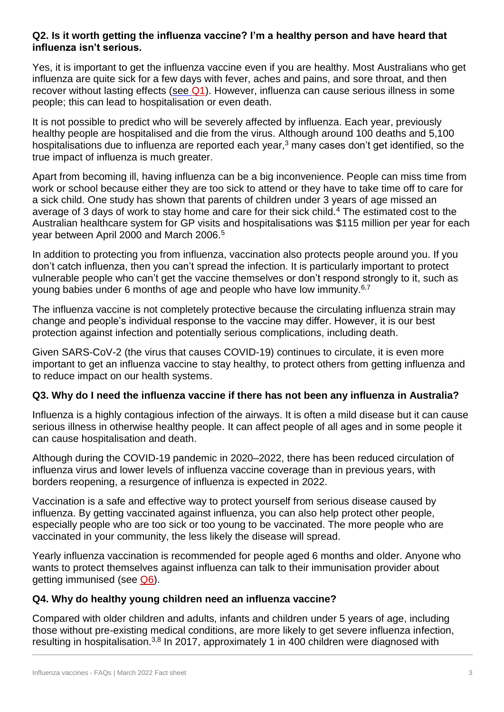# <span id="page-2-0"></span>**Q2. Is it worth getting the influenza vaccine? I'm a healthy person and have heard that influenza isn't serious.**

Yes, it is important to get the influenza vaccine even if you are healthy. Most Australians who get influenza are quite sick for a few days with fever, aches and pains, and sore throat, and then recover without lasting effects (see [Q1\)](#page-1-0). However, influenza can cause serious illness in some people; this can lead to hospitalisation or even death.

It is not possible to predict who will be severely affected by influenza. Each year, previously healthy people are hospitalised and die from the virus. Although around 100 deaths and 5,100 hospitalisations due to influenza are reported each year, $3$  many cases don't get identified, so the true impact of influenza is much greater.

Apart from becoming ill, having influenza can be a big inconvenience. People can miss time from work or school because either they are too sick to attend or they have to take time off to care for a sick child. One study has shown that parents of children under 3 years of age missed an average of 3 days of work to stay home and care for their sick child.<sup>4</sup> The estimated cost to the Australian healthcare system for GP visits and hospitalisations was \$115 million per year for each year between April 2000 and March 2006.<sup>5</sup>

In addition to protecting you from influenza, vaccination also protects people around you. If you don't catch influenza, then you can't spread the infection. It is particularly important to protect vulnerable people who can't get the vaccine themselves or don't respond strongly to it, such as young babies under 6 months of age and people who have low immunity.6,7

The influenza vaccine is not completely protective because the circulating influenza strain may change and people's individual response to the vaccine may differ. However, it is our best protection against infection and potentially serious complications, including death.

Given SARS-CoV-2 (the virus that causes COVID-19) continues to circulate, it is even more important to get an influenza vaccine to stay healthy, to protect others from getting influenza and to reduce impact on our health systems.

# <span id="page-2-1"></span>**Q3. Why do I need the influenza vaccine if there has not been any influenza in Australia?**

[Influenza](https://www.health.gov.au/health-topics/flu-influenza) is a highly contagious infection of the airways. It is often a mild disease but it can cause serious illness in otherwise healthy people. It can affect people of all ages and in some people it can cause hospitalisation and death.

Although during the COVID-19 pandemic in 2020–2022, there has been reduced circulation of influenza virus and lower levels of influenza vaccine coverage than in previous years, with borders reopening, a resurgence of influenza is expected in 2022.

Vaccination is a safe and effective way to protect yourself from serious disease caused by influenza. By getting vaccinated against influenza, you can also help protect other people, especially people who are too sick or too young to be vaccinated. The more people who are vaccinated in your community, the less likely the disease will spread.

Yearly influenza vaccination is recommended for people aged 6 months and older. Anyone who wants to protect themselves against influenza can talk to their immunisation provider about getting immunised (see [Q6\)](#page-3-1).

# <span id="page-2-2"></span>**Q4. Why do healthy young children need an influenza vaccine?**

Compared with older children and adults, infants and children under 5 years of age, including those without pre-existing medical conditions, are more likely to get severe influenza infection, resulting in hospitalisation.<sup>3,8</sup> In 2017, approximately 1 in 400 children were diagnosed with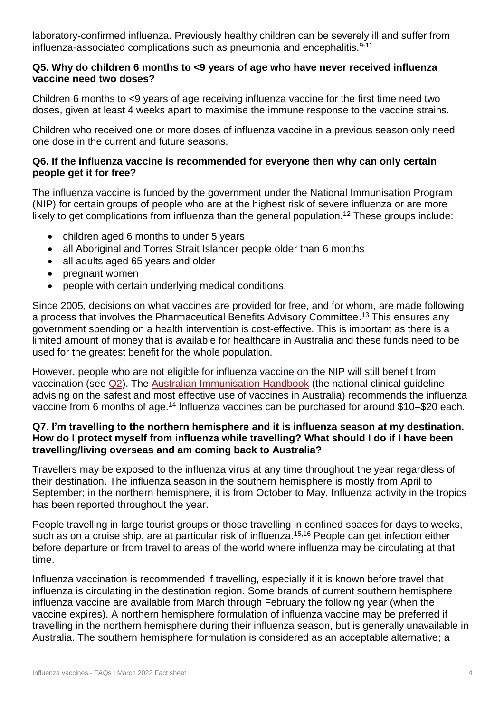laboratory-confirmed influenza. Previously healthy children can be severely ill and suffer from influenza-associated complications such as pneumonia and encephalitis. $9-11$ 

#### <span id="page-3-0"></span>**Q5. Why do children 6 months to <9 years of age who have never received influenza vaccine need two doses?**

Children 6 months to <9 years of age receiving influenza vaccine for the first time need two doses, given at least 4 weeks apart to maximise the immune response to the vaccine strains.

Children who received one or more doses of influenza vaccine in a previous season only need one dose in the current and future seasons.

#### <span id="page-3-1"></span>**Q6. If the influenza vaccine is recommended for everyone then why can only certain people get it for free?**

The influenza vaccine is funded by the government under the National Immunisation Program (NIP) for certain groups of people who are at the highest risk of severe influenza or are more likely to get complications from influenza than the general population.<sup>12</sup> These groups include:

- children aged 6 months to under 5 years
- all Aboriginal and Torres Strait Islander people older than 6 months
- all adults aged 65 years and older
- pregnant women
- people with certain underlying medical conditions.

Since 2005, decisions on what vaccines are provided for free, and for whom, are made following a process that involves the Pharmaceutical Benefits Advisory Committee. <sup>13</sup> This ensures any government spending on a health intervention is cost-effective. This is important as there is a limited amount of money that is available for healthcare in Australia and these funds need to be used for the greatest benefit for the whole population.

However, people who are not eligible for influenza vaccine on the NIP will still benefit from vaccination (see [Q2\)](#page-2-0). The [Australian Immunisation Handbook](https://immunisationhandbook.health.gov.au/vaccine-preventable-diseases/influenza-flu) (the national clinical guideline advising on the safest and most effective use of vaccines in Australia) recommends the influenza vaccine from 6 months of age.<sup>14</sup> Influenza vaccines can be purchased for around \$10–\$20 each.

#### <span id="page-3-2"></span>**Q7. I'm travelling to the northern hemisphere and it is influenza season at my destination. How do I protect myself from influenza while travelling? What should I do if I have been travelling/living overseas and am coming back to Australia?**

Travellers may be exposed to the influenza virus at any time throughout the year regardless of their destination. The influenza season in the southern hemisphere is mostly from April to September; in the northern hemisphere, it is from October to May. Influenza activity in the tropics has been reported throughout the year.

People travelling in large tourist groups or those travelling in confined spaces for days to weeks, such as on a cruise ship, are at particular risk of influenza.<sup>15,16</sup> People can get infection either before departure or from travel to areas of the world where influenza may be circulating at that time.

Influenza vaccination is recommended if travelling, especially if it is known before travel that influenza is circulating in the destination region. Some brands of current southern hemisphere influenza vaccine are available from March through February the following year (when the vaccine expires). A northern hemisphere formulation of influenza vaccine may be preferred if travelling in the northern hemisphere during their influenza season, but is generally unavailable in Australia. The southern hemisphere formulation is considered as an acceptable alternative; a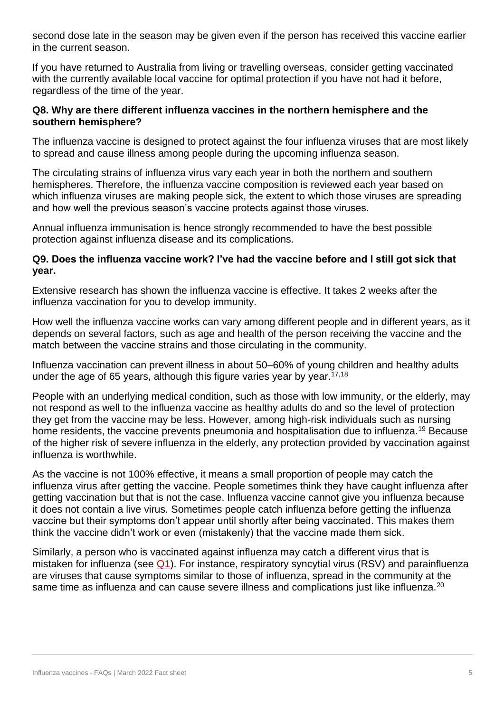second dose late in the season may be given even if the person has received this vaccine earlier in the current season.

If you have returned to Australia from living or travelling overseas, consider getting vaccinated with the currently available local vaccine for optimal protection if you have not had it before, regardless of the time of the year.

#### <span id="page-4-0"></span>**Q8. Why are there different influenza vaccines in the northern hemisphere and the southern hemisphere?**

The influenza vaccine is designed to protect against the four influenza viruses that are most likely to spread and cause illness among people during the upcoming influenza season.

The circulating strains of influenza virus vary each year in both the northern and southern hemispheres. Therefore, the influenza vaccine composition is reviewed each year based on which influenza viruses are making people sick, the extent to which those viruses are spreading and how well the previous season's vaccine protects against those viruses.

Annual influenza immunisation is hence strongly recommended to have the best possible protection against influenza disease and its complications.

#### <span id="page-4-1"></span>**Q9. Does the influenza vaccine work? I've had the vaccine before and I still got sick that year.**

Extensive research has shown the influenza vaccine is effective. It takes 2 weeks after the influenza vaccination for you to develop immunity.

How well the influenza vaccine works can vary among different people and in different years, as it depends on several factors, such as age and health of the person receiving the vaccine and the match between the vaccine strains and those circulating in the community.

Influenza vaccination can prevent illness in about 50–60% of young children and healthy adults under the age of 65 years, although this figure varies year by year.<sup>17,18</sup>

People with an underlying medical condition, such as those with low immunity, or the elderly, may not respond as well to the influenza vaccine as healthy adults do and so the level of protection they get from the vaccine may be less. However, among high-risk individuals such as nursing home residents, the vaccine prevents pneumonia and hospitalisation due to influenza.<sup>19</sup> Because of the higher risk of severe influenza in the elderly, any protection provided by vaccination against influenza is worthwhile.

As the vaccine is not 100% effective, it means a small proportion of people may catch the influenza virus after getting the vaccine. People sometimes think they have caught influenza after getting vaccination but that is not the case. Influenza vaccine cannot give you influenza because it does not contain a live virus. Sometimes people catch influenza before getting the influenza vaccine but their symptoms don't appear until shortly after being vaccinated. This makes them think the vaccine didn't work or even (mistakenly) that the vaccine made them sick.

Similarly, a person who is vaccinated against influenza may catch a different virus that is mistaken for influenza (see [Q1\)](#page-1-0). For instance, respiratory syncytial virus (RSV) and parainfluenza are viruses that cause symptoms similar to those of influenza, spread in the community at the same time as influenza and can cause severe illness and complications just like influenza.<sup>20</sup>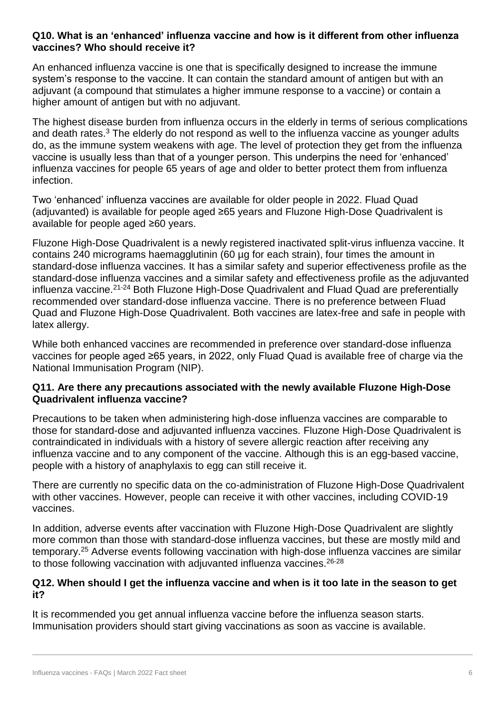# <span id="page-5-0"></span>**Q10. What is an 'enhanced' influenza vaccine and how is it different from other influenza vaccines? Who should receive it?**

An enhanced influenza vaccine is one that is specifically designed to increase the immune system's response to the vaccine. It can contain the standard amount of antigen but with an adjuvant (a compound that stimulates a higher immune response to a vaccine) or contain a higher amount of antigen but with no adjuvant.

The highest disease burden from influenza occurs in the elderly in terms of serious complications and death rates.<sup>3</sup> The elderly do not respond as well to the influenza vaccine as younger adults do, as the immune system weakens with age. The level of protection they get from the influenza vaccine is usually less than that of a younger person. This underpins the need for 'enhanced' influenza vaccines for people 65 years of age and older to better protect them from influenza infection.

Two 'enhanced' influenza vaccines are available for older people in 2022. Fluad Quad (adjuvanted) is available for people aged ≥65 years and Fluzone High-Dose Quadrivalent is available for people aged ≥60 years.

Fluzone High-Dose Quadrivalent is a newly registered inactivated split-virus influenza vaccine. It contains 240 micrograms haemagglutinin (60 µg for each strain), four times the amount in standard-dose influenza vaccines. It has a similar safety and superior effectiveness profile as the standard-dose influenza vaccines and a similar safety and effectiveness profile as the adjuvanted influenza vaccine.<sup>21-24</sup> Both Fluzone High-Dose Quadrivalent and Fluad Quad are preferentially recommended over standard-dose influenza vaccine. There is no preference between Fluad Quad and Fluzone High-Dose Quadrivalent. Both vaccines are latex-free and safe in people with latex allergy.

While both enhanced vaccines are recommended in preference over standard-dose influenza vaccines for people aged ≥65 years, in 2022, only Fluad Quad is available free of charge via the National Immunisation Program (NIP).

#### <span id="page-5-1"></span>**Q11. Are there any precautions associated with the newly available Fluzone High-Dose Quadrivalent influenza vaccine?**

Precautions to be taken when administering high-dose influenza vaccines are comparable to those for standard-dose and adjuvanted influenza vaccines. Fluzone High-Dose Quadrivalent is contraindicated in individuals with a history of severe allergic reaction after receiving any influenza vaccine and to any component of the vaccine. Although this is an egg-based vaccine, people with a history of anaphylaxis to egg can still receive it.

There are currently no specific data on the co-administration of Fluzone High-Dose Quadrivalent with other vaccines. However, people can receive it with other vaccines, including COVID-19 vaccines.

In addition, adverse events after vaccination with Fluzone High-Dose Quadrivalent are slightly more common than those with standard-dose influenza vaccines, but these are mostly mild and temporary.<sup>25</sup> Adverse events following vaccination with high-dose influenza vaccines are similar to those following vaccination with adjuvanted influenza vaccines.<sup>26-28</sup>

# <span id="page-5-2"></span>**Q12. When should I get the influenza vaccine and when is it too late in the season to get it?**

It is recommended you get annual influenza vaccine before the influenza season starts. Immunisation providers should start giving vaccinations as soon as vaccine is available.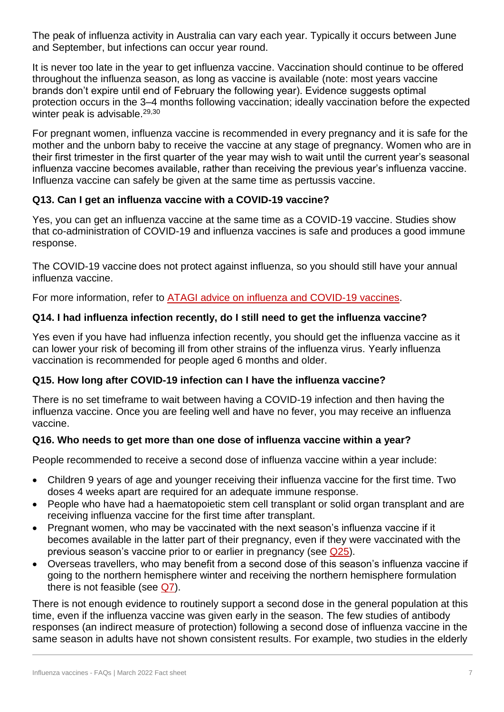The peak of influenza activity in Australia can vary each year. Typically it occurs between June and September, but infections can occur year round.

It is never too late in the year to get influenza vaccine. Vaccination should continue to be offered throughout the influenza season, as long as vaccine is available (note: most years vaccine brands don't expire until end of February the following year). Evidence suggests optimal protection occurs in the 3–4 months following vaccination; ideally vaccination before the expected winter peak is advisable.<sup>29,30</sup>

For pregnant women, influenza vaccine is recommended in every pregnancy and it is safe for the mother and the unborn baby to receive the vaccine at any stage of pregnancy. Women who are in their first trimester in the first quarter of the year may wish to wait until the current year's seasonal influenza vaccine becomes available, rather than receiving the previous year's influenza vaccine. Influenza vaccine can safely be given at the same time as pertussis vaccine.

# <span id="page-6-0"></span>**Q13. Can I get an influenza vaccine with a COVID-19 vaccine?**

Yes, you can get an influenza vaccine at the same time as a COVID-19 vaccine. Studies show that co-administration of COVID-19 and influenza vaccines is safe and produces a good immune response.

The [COVID-19 vaccine](https://www.health.gov.au/initiatives-and-programs/covid-19-vaccines/approved-vaccines) does not protect against influenza, so you should still have your annual influenza vaccine.

For more information, refer to [ATAGI advice on influenza and COVID-19 vaccines.](https://www.health.gov.au/resources/publications/covid-19-vaccination-atagi-advice-on-influenza-and-covid-19-vaccines)

# <span id="page-6-1"></span>**Q14. I had influenza infection recently, do I still need to get the influenza vaccine?**

Yes even if you have had influenza infection recently, you should get the influenza vaccine as it can lower your risk of becoming ill from other strains of the influenza virus. Yearly influenza vaccination is recommended for people aged 6 months and older.

# <span id="page-6-2"></span>**Q15. How long after COVID-19 infection can I have the influenza vaccine?**

There is no set timeframe to wait between having a COVID-19 infection and then having the influenza vaccine. Once you are feeling well and have no fever, you may receive an influenza vaccine.

# <span id="page-6-3"></span>**Q16. Who needs to get more than one dose of influenza vaccine within a year?**

People recommended to receive a second dose of influenza vaccine within a year include:

- Children 9 years of age and younger receiving their influenza vaccine for the first time. Two doses 4 weeks apart are required for an adequate immune response.
- People who have had a haematopoietic stem cell transplant or solid organ transplant and are receiving influenza vaccine for the first time after transplant.
- Pregnant women, who may be vaccinated with the next season's influenza vaccine if it becomes available in the latter part of their pregnancy, even if they were vaccinated with the previous season's vaccine prior to or earlier in pregnancy (see [Q25\)](#page-7-1).
- Overseas travellers, who may benefit from a second dose of this season's influenza vaccine if going to the northern hemisphere winter and receiving the northern hemisphere formulation there is not feasible (see [Q7\)](#page-3-2).

There is not enough evidence to routinely support a second dose in the general population at this time, even if the influenza vaccine was given early in the season. The few studies of antibody responses (an indirect measure of protection) following a second dose of influenza vaccine in the same season in adults have not shown consistent results. For example, two studies in the elderly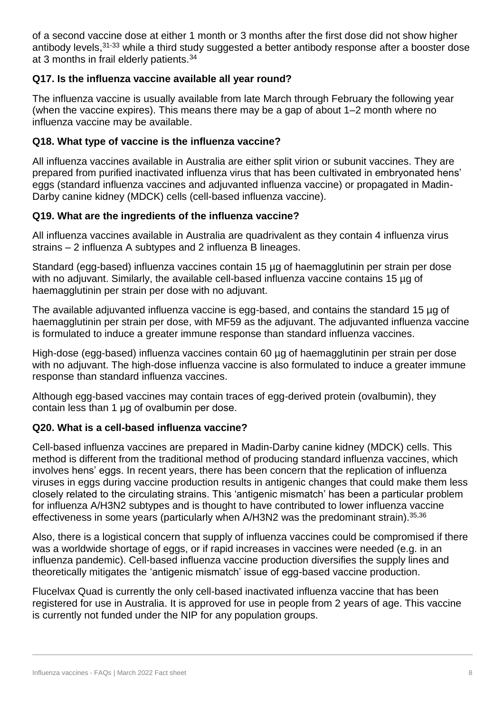of a second vaccine dose at either 1 month or 3 months after the first dose did not show higher antibody levels,<sup>31-33</sup> while a third study suggested a better antibody response after a booster dose at 3 months in frail elderly patients.<sup>34</sup>

# <span id="page-7-0"></span>**Q17. Is the influenza vaccine available all year round?**

The influenza vaccine is usually available from late March through February the following year (when the vaccine expires). This means there may be a gap of about 1–2 month where no influenza vaccine may be available.

# <span id="page-7-1"></span>**Q18. What type of vaccine is the influenza vaccine?**

All influenza vaccines available in Australia are either split virion or subunit vaccines. They are prepared from purified inactivated influenza virus that has been cultivated in embryonated hens' eggs (standard influenza vaccines and adjuvanted influenza vaccine) or propagated in Madin-Darby canine kidney (MDCK) cells (cell-based influenza vaccine).

# <span id="page-7-2"></span>**Q19. What are the ingredients of the influenza vaccine?**

All influenza vaccines available in Australia are quadrivalent as they contain 4 influenza virus strains – 2 influenza A subtypes and 2 influenza B lineages.

Standard (egg-based) influenza vaccines contain 15 µg of haemagglutinin per strain per dose with no adjuvant. Similarly, the available cell-based influenza vaccine contains 15 µg of haemagglutinin per strain per dose with no adjuvant.

The available adjuvanted influenza vaccine is egg-based, and contains the standard 15 ug of haemagglutinin per strain per dose, with MF59 as the adjuvant. The adjuvanted influenza vaccine is formulated to induce a greater immune response than standard influenza vaccines.

High-dose (egg-based) influenza vaccines contain 60 µg of haemagglutinin per strain per dose with no adjuvant. The high-dose influenza vaccine is also formulated to induce a greater immune response than standard influenza vaccines.

Although egg-based vaccines may contain traces of egg-derived protein (ovalbumin), they contain less than 1 μg of ovalbumin per dose.

# <span id="page-7-3"></span>**Q20. What is a cell-based influenza vaccine?**

Cell-based influenza vaccines are prepared in Madin-Darby canine kidney (MDCK) cells. This method is different from the traditional method of producing standard influenza vaccines, which involves hens' eggs. In recent years, there has been concern that the replication of influenza viruses in eggs during vaccine production results in antigenic changes that could make them less closely related to the circulating strains. This 'antigenic mismatch' has been a particular problem for influenza A/H3N2 subtypes and is thought to have contributed to lower influenza vaccine effectiveness in some years (particularly when A/H3N2 was the predominant strain). 35,36

Also, there is a logistical concern that supply of influenza vaccines could be compromised if there was a worldwide shortage of eggs, or if rapid increases in vaccines were needed (e.g. in an influenza pandemic). Cell-based influenza vaccine production diversifies the supply lines and theoretically mitigates the 'antigenic mismatch' issue of egg-based vaccine production.

Flucelvax Quad is currently the only cell-based inactivated influenza vaccine that has been registered for use in Australia. It is approved for use in people from 2 years of age. This vaccine is currently not funded under the NIP for any population groups.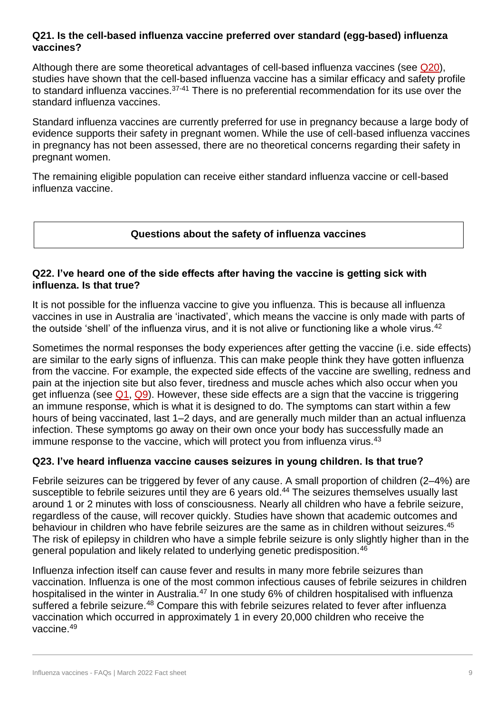#### <span id="page-8-0"></span>**Q21. Is the cell-based influenza vaccine preferred over standard (egg-based) influenza vaccines?**

Although there are some theoretical advantages of cell-based influenza vaccines (see [Q20\)](#page-6-0), studies have shown that the cell-based influenza vaccine has a similar efficacy and safety profile to standard influenza vaccines.<sup>37-41</sup> There is no preferential recommendation for its use over the standard influenza vaccines.

Standard influenza vaccines are currently preferred for use in pregnancy because a large body of evidence supports their safety in pregnant women. While the use of cell-based influenza vaccines in pregnancy has not been assessed, there are no theoretical concerns regarding their safety in pregnant women.

The remaining eligible population can receive either standard influenza vaccine or cell-based influenza vaccine.

# **Questions about the safety of influenza vaccines**

# <span id="page-8-1"></span>**Q22. I've heard one of the side effects after having the vaccine is getting sick with influenza. Is that true?**

It is not possible for the influenza vaccine to give you influenza. This is because all influenza vaccines in use in Australia are 'inactivated', which means the vaccine is only made with parts of the outside 'shell' of the influenza virus, and it is not alive or functioning like a whole virus.<sup>42</sup>

Sometimes the normal responses the body experiences after getting the vaccine (i.e. side effects) are similar to the early signs of influenza. This can make people think they have gotten influenza from the vaccine. For example, the expected side effects of the vaccine are swelling, redness and pain at the injection site but also fever, tiredness and muscle aches which also occur when you get influenza (see  $Q_1$ ,  $Q_2$ ). However, these side effects are a sign that the vaccine is triggering an immune response, which is what it is designed to do. The symptoms can start within a few hours of being vaccinated, last 1–2 days, and are generally much milder than an actual influenza infection. These symptoms go away on their own once your body has successfully made an immune response to the vaccine, which will protect you from influenza virus.<sup>43</sup>

#### <span id="page-8-2"></span>**Q23. I've heard influenza vaccine causes seizures in young children. Is that true?**

Febrile seizures can be triggered by fever of any cause. A small proportion of children (2–4%) are susceptible to febrile seizures until they are 6 years old. <sup>44</sup> The seizures themselves usually last around 1 or 2 minutes with loss of consciousness. Nearly all children who have a febrile seizure, regardless of the cause, will recover quickly. Studies have shown that academic outcomes and behaviour in children who have febrile seizures are the same as in children without seizures.<sup>45</sup> The risk of epilepsy in children who have a simple febrile seizure is only slightly higher than in the general population and likely related to underlying genetic predisposition.<sup>46</sup>

Influenza infection itself can cause fever and results in many more febrile seizures than vaccination. Influenza is one of the most common infectious causes of febrile seizures in children hospitalised in the winter in Australia.<sup>47</sup> In one study 6% of children hospitalised with influenza suffered a febrile seizure.<sup>48</sup> Compare this with febrile seizures related to fever after influenza vaccination which occurred in approximately 1 in every 20,000 children who receive the vaccine.49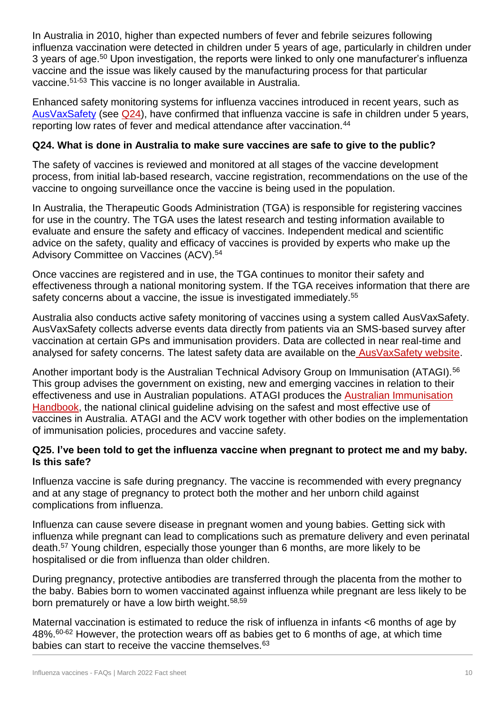In Australia in 2010, higher than expected numbers of fever and febrile seizures following influenza vaccination were detected in children under 5 years of age, particularly in children under 3 years of age. <sup>50</sup> Upon investigation, the reports were linked to only one manufacturer's influenza vaccine and the issue was likely caused by the manufacturing process for that particular vaccine. 51-53 This vaccine is no longer available in Australia.

Enhanced safety monitoring systems for influenza vaccines introduced in recent years, such as [AusVaxSafety](https://www.ausvaxsafety.org.au/) (see [Q24\)](#page-7-0), have confirmed that influenza vaccine is safe in children under 5 years, reporting low rates of fever and medical attendance after vaccination.<sup>44</sup>

# <span id="page-9-0"></span>**Q24. What is done in Australia to make sure vaccines are safe to give to the public?**

The safety of vaccines is reviewed and monitored at all stages of the vaccine development process, from initial lab-based research, vaccine registration, recommendations on the use of the vaccine to ongoing surveillance once the vaccine is being used in the population.

In Australia, the Therapeutic Goods Administration (TGA) is responsible for registering vaccines for use in the country. The TGA uses the latest research and testing information available to evaluate and ensure the safety and efficacy of vaccines. Independent medical and scientific advice on the safety, quality and efficacy of vaccines is provided by experts who make up the Advisory Committee on Vaccines (ACV). 54

Once vaccines are registered and in use, the TGA continues to monitor their safety and effectiveness through a national monitoring system. If the TGA receives information that there are safety concerns about a vaccine, the issue is investigated immediately.<sup>55</sup>

Australia also conducts active safety monitoring of vaccines using a system called AusVaxSafety. AusVaxSafety collects adverse events data directly from patients via an SMS-based survey after vaccination at certain GPs and immunisation providers. Data are collected in near real-time and analysed for safety concerns. The latest safety data are available on the [AusVaxSafety website.](https://www.ausvaxsafety.org.au/)

Another important body is the Australian Technical Advisory Group on Immunisation (ATAGI).<sup>56</sup> This group advises the government on existing, new and emerging vaccines in relation to their effectiveness and use in Australian populations. ATAGI produces the [Australian Immunisation](https://immunisationhandbook.health.gov.au/)  [Handbook,](https://immunisationhandbook.health.gov.au/) the national clinical guideline advising on the safest and most effective use of vaccines in Australia. ATAGI and the ACV work together with other bodies on the implementation of immunisation policies, procedures and vaccine safety.

# <span id="page-9-1"></span>**Q25. I've been told to get the influenza vaccine when pregnant to protect me and my baby. Is this safe?**

Influenza vaccine is safe during pregnancy. The vaccine is recommended with every pregnancy and at any stage of pregnancy to protect both the mother and her unborn child against complications from influenza.

Influenza can cause severe disease in pregnant women and young babies. Getting sick with influenza while pregnant can lead to complications such as premature delivery and even perinatal death.<sup>57</sup> Young children, especially those younger than 6 months, are more likely to be hospitalised or die from influenza than older children.

During pregnancy, protective antibodies are transferred through the placenta from the mother to the baby. Babies born to women vaccinated against influenza while pregnant are less likely to be born prematurely or have a low birth weight.<sup>58,59</sup>

Maternal vaccination is estimated to reduce the risk of influenza in infants <6 months of age by 48%.60-62 However, the protection wears off as babies get to 6 months of age, at which time babies can start to receive the vaccine themselves.<sup>63</sup>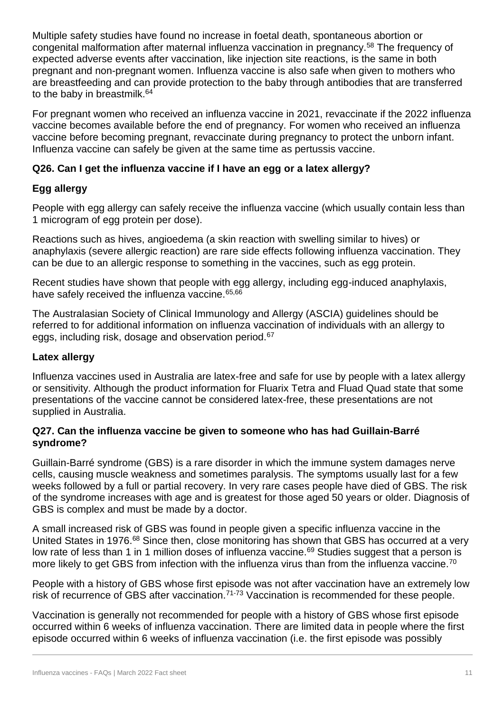Multiple safety studies have found no increase in foetal death, spontaneous abortion or congenital malformation after maternal influenza vaccination in pregnancy.<sup>58</sup> The frequency of expected adverse events after vaccination, like injection site reactions, is the same in both pregnant and non-pregnant women. Influenza vaccine is also safe when given to mothers who are breastfeeding and can provide protection to the baby through antibodies that are transferred to the baby in breastmilk.<sup>64</sup>

For pregnant women who received an influenza vaccine in 2021, revaccinate if the 2022 influenza vaccine becomes available before the end of pregnancy. For women who received an influenza vaccine before becoming pregnant, revaccinate during pregnancy to protect the unborn infant. Influenza vaccine can safely be given at the same time as pertussis vaccine.

# <span id="page-10-0"></span>**Q26. Can I get the influenza vaccine if I have an egg or a latex allergy?**

# **Egg allergy**

People with egg allergy can safely receive the influenza vaccine (which usually contain less than 1 microgram of egg protein per dose).

Reactions such as hives, angioedema (a skin reaction with swelling similar to hives) or anaphylaxis (severe allergic reaction) are rare side effects following influenza vaccination. They can be due to an allergic response to something in the vaccines, such as egg protein.

Recent studies have shown that people with egg allergy, including egg-induced anaphylaxis, have safely received the influenza vaccine.<sup>65,66</sup>

The Australasian Society of Clinical Immunology and Allergy (ASCIA) guidelines should be referred to for additional information on influenza vaccination of individuals with an allergy to eggs, including risk, dosage and observation period.<sup>67</sup>

# **Latex allergy**

Influenza vaccines used in Australia are latex-free and safe for use by people with a latex allergy or sensitivity. Although the product information for Fluarix Tetra and Fluad Quad state that some presentations of the vaccine cannot be considered latex-free, these presentations are not supplied in Australia.

#### <span id="page-10-1"></span>**Q27. Can the influenza vaccine be given to someone who has had Guillain-Barré syndrome?**

Guillain-Barré syndrome (GBS) is a rare disorder in which the immune system damages nerve cells, causing muscle weakness and sometimes paralysis. The symptoms usually last for a few weeks followed by a full or partial recovery. In very rare cases people have died of GBS. The risk of the syndrome increases with age and is greatest for those aged 50 years or older. Diagnosis of GBS is complex and must be made by a doctor.

A small increased risk of GBS was found in people given a specific influenza vaccine in the United States in 1976.<sup>68</sup> Since then, close monitoring has shown that GBS has occurred at a very low rate of less than 1 in 1 million doses of influenza vaccine.<sup>69</sup> Studies suggest that a person is more likely to get GBS from infection with the influenza virus than from the influenza vaccine.<sup>70</sup>

People with a history of GBS whose first episode was not after vaccination have an extremely low risk of recurrence of GBS after vaccination.<sup>71-73</sup> Vaccination is recommended for these people.

Vaccination is generally not recommended for people with a history of GBS whose first episode occurred within 6 weeks of influenza vaccination. There are limited data in people where the first episode occurred within 6 weeks of influenza vaccination (i.e. the first episode was possibly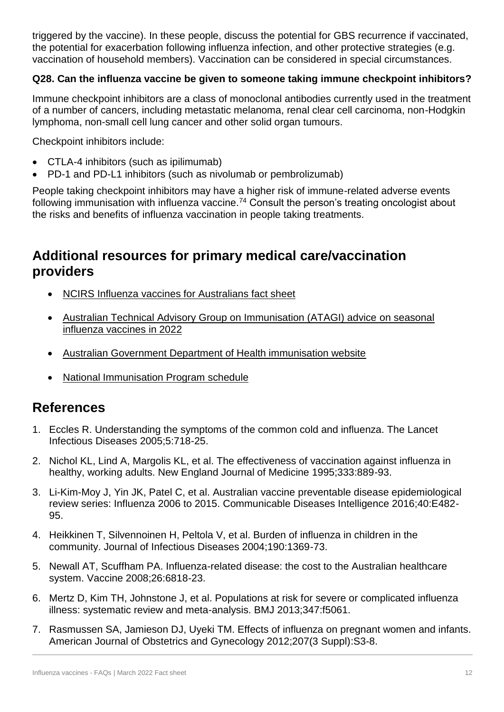triggered by the vaccine). In these people, discuss the potential for GBS recurrence if vaccinated, the potential for exacerbation following influenza infection, and other protective strategies (e.g. vaccination of household members). Vaccination can be considered in special circumstances.

# <span id="page-11-0"></span>**Q28. Can the influenza vaccine be given to someone taking immune checkpoint inhibitors?**

Immune checkpoint inhibitors are a class of monoclonal antibodies currently used in the treatment of a number of cancers, including metastatic melanoma, renal clear cell carcinoma, non-Hodgkin lymphoma, non-small cell lung cancer and other solid organ tumours.

Checkpoint inhibitors include:

- CTLA-4 inhibitors (such as ipilimumab)
- PD-1 and PD-L1 inhibitors (such as nivolumab or pembrolizumab)

People taking checkpoint inhibitors may have a higher risk of immune-related adverse events following immunisation with influenza vaccine.<sup>74</sup> Consult the person's treating oncologist about the risks and benefits of influenza vaccination in people taking treatments.

# **Additional resources for primary medical care/vaccination providers**

- [NCIRS Influenza vaccines for Australians fact sheet](http://ncirs.org.au/ncirs-fact-sheets-faqs/influenza-vaccines-australians)
- [Australian Technical Advisory Group on Immunisation \(ATAGI\) advice on seasonal](https://www.health.gov.au/resources/publications/atagi-advice-on-seasonal-influenza-vaccines-in-2022)  [influenza vaccines in 2022](https://www.health.gov.au/resources/publications/atagi-advice-on-seasonal-influenza-vaccines-in-2022)
- [Australian Government Department of Health immunisation website](https://www.health.gov.au/health-topics/immunisation)
- [National Immunisation Program schedule](https://www.health.gov.au/health-topics/immunisation/immunisation-throughout-life/national-immunisation-program-schedule)

# **References**

- 1. Eccles R. Understanding the symptoms of the common cold and influenza. The Lancet Infectious Diseases 2005;5:718-25.
- 2. Nichol KL, Lind A, Margolis KL, et al. The effectiveness of vaccination against influenza in healthy, working adults. New England Journal of Medicine 1995;333:889-93.
- 3. Li-Kim-Moy J, Yin JK, Patel C, et al. Australian vaccine preventable disease epidemiological review series: Influenza 2006 to 2015. Communicable Diseases Intelligence 2016;40:E482- 95.
- 4. Heikkinen T, Silvennoinen H, Peltola V, et al. Burden of influenza in children in the community. Journal of Infectious Diseases 2004;190:1369-73.
- 5. Newall AT, Scuffham PA. Influenza-related disease: the cost to the Australian healthcare system. Vaccine 2008;26:6818-23.
- 6. Mertz D, Kim TH, Johnstone J, et al. Populations at risk for severe or complicated influenza illness: systematic review and meta-analysis. BMJ 2013;347:f5061.
- 7. Rasmussen SA, Jamieson DJ, Uyeki TM. Effects of influenza on pregnant women and infants. American Journal of Obstetrics and Gynecology 2012;207(3 Suppl):S3-8.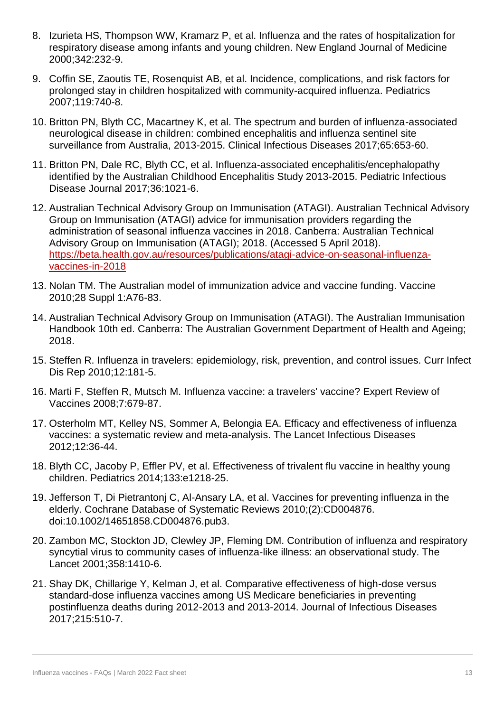- 8. Izurieta HS, Thompson WW, Kramarz P, et al. Influenza and the rates of hospitalization for respiratory disease among infants and young children. New England Journal of Medicine 2000;342:232-9.
- 9. Coffin SE, Zaoutis TE, Rosenquist AB, et al. Incidence, complications, and risk factors for prolonged stay in children hospitalized with community-acquired influenza. Pediatrics 2007;119:740-8.
- 10. Britton PN, Blyth CC, Macartney K, et al. The spectrum and burden of influenza-associated neurological disease in children: combined encephalitis and influenza sentinel site surveillance from Australia, 2013-2015. Clinical Infectious Diseases 2017;65:653-60.
- 11. Britton PN, Dale RC, Blyth CC, et al. Influenza-associated encephalitis/encephalopathy identified by the Australian Childhood Encephalitis Study 2013-2015. Pediatric Infectious Disease Journal 2017;36:1021-6.
- 12. Australian Technical Advisory Group on Immunisation (ATAGI). Australian Technical Advisory Group on Immunisation (ATAGI) advice for immunisation providers regarding the administration of seasonal influenza vaccines in 2018. Canberra: Australian Technical Advisory Group on Immunisation (ATAGI); 2018. (Accessed 5 April 2018). [https://beta.health.gov.au/resources/publications/atagi-advice-on-seasonal-influenza](https://beta.health.gov.au/resources/publications/atagi-advice-on-seasonal-influenza-vaccines-in-2018)[vaccines-in-2018](https://beta.health.gov.au/resources/publications/atagi-advice-on-seasonal-influenza-vaccines-in-2018)
- 13. Nolan TM. The Australian model of immunization advice and vaccine funding. Vaccine 2010;28 Suppl 1:A76-83.
- 14. Australian Technical Advisory Group on Immunisation (ATAGI). The Australian Immunisation Handbook 10th ed. Canberra: The Australian Government Department of Health and Ageing; 2018.
- 15. Steffen R. Influenza in travelers: epidemiology, risk, prevention, and control issues. Curr Infect Dis Rep 2010;12:181-5.
- 16. Marti F, Steffen R, Mutsch M. Influenza vaccine: a travelers' vaccine? Expert Review of Vaccines 2008;7:679-87.
- 17. Osterholm MT, Kelley NS, Sommer A, Belongia EA. Efficacy and effectiveness of influenza vaccines: a systematic review and meta-analysis. The Lancet Infectious Diseases 2012;12:36-44.
- 18. Blyth CC, Jacoby P, Effler PV, et al. Effectiveness of trivalent flu vaccine in healthy young children. Pediatrics 2014;133:e1218-25.
- 19. Jefferson T, Di Pietrantonj C, Al-Ansary LA, et al. Vaccines for preventing influenza in the elderly. Cochrane Database of Systematic Reviews 2010;(2):CD004876. doi:10.1002/14651858.CD004876.pub3.
- 20. Zambon MC, Stockton JD, Clewley JP, Fleming DM. Contribution of influenza and respiratory syncytial virus to community cases of influenza-like illness: an observational study. The Lancet 2001;358:1410-6.
- 21. Shay DK, Chillarige Y, Kelman J, et al. Comparative effectiveness of high-dose versus standard-dose influenza vaccines among US Medicare beneficiaries in preventing postinfluenza deaths during 2012-2013 and 2013-2014. Journal of Infectious Diseases 2017;215:510-7.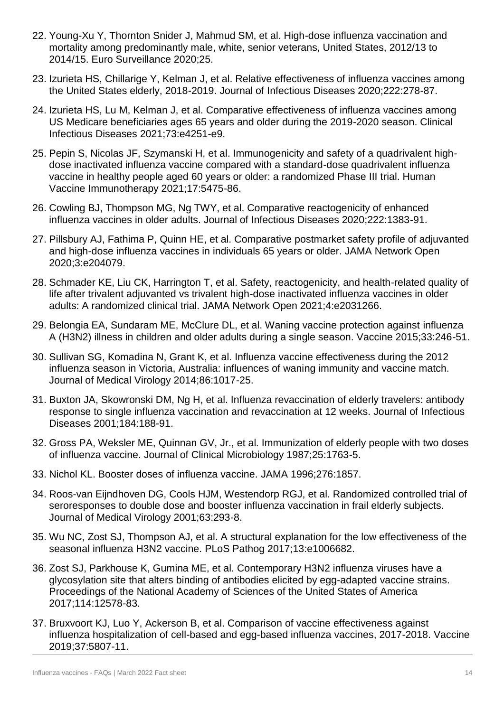- 22. Young-Xu Y, Thornton Snider J, Mahmud SM, et al. High-dose influenza vaccination and mortality among predominantly male, white, senior veterans, United States, 2012/13 to 2014/15. Euro Surveillance 2020;25.
- 23. Izurieta HS, Chillarige Y, Kelman J, et al. Relative effectiveness of influenza vaccines among the United States elderly, 2018-2019. Journal of Infectious Diseases 2020;222:278-87.
- 24. Izurieta HS, Lu M, Kelman J, et al. Comparative effectiveness of influenza vaccines among US Medicare beneficiaries ages 65 years and older during the 2019-2020 season. Clinical Infectious Diseases 2021;73:e4251-e9.
- 25. Pepin S, Nicolas JF, Szymanski H, et al. Immunogenicity and safety of a quadrivalent highdose inactivated influenza vaccine compared with a standard-dose quadrivalent influenza vaccine in healthy people aged 60 years or older: a randomized Phase III trial. Human Vaccine Immunotherapy 2021;17:5475-86.
- 26. Cowling BJ, Thompson MG, Ng TWY, et al. Comparative reactogenicity of enhanced influenza vaccines in older adults. Journal of Infectious Diseases 2020;222:1383-91.
- 27. Pillsbury AJ, Fathima P, Quinn HE, et al. Comparative postmarket safety profile of adjuvanted and high-dose influenza vaccines in individuals 65 years or older. JAMA Network Open 2020;3:e204079.
- 28. Schmader KE, Liu CK, Harrington T, et al. Safety, reactogenicity, and health-related quality of life after trivalent adjuvanted vs trivalent high-dose inactivated influenza vaccines in older adults: A randomized clinical trial. JAMA Network Open 2021;4:e2031266.
- 29. Belongia EA, Sundaram ME, McClure DL, et al. Waning vaccine protection against influenza A (H3N2) illness in children and older adults during a single season. Vaccine 2015;33:246-51.
- 30. Sullivan SG, Komadina N, Grant K, et al. Influenza vaccine effectiveness during the 2012 influenza season in Victoria, Australia: influences of waning immunity and vaccine match. Journal of Medical Virology 2014;86:1017-25.
- 31. Buxton JA, Skowronski DM, Ng H, et al. Influenza revaccination of elderly travelers: antibody response to single influenza vaccination and revaccination at 12 weeks. Journal of Infectious Diseases 2001;184:188-91.
- 32. Gross PA, Weksler ME, Quinnan GV, Jr., et al. Immunization of elderly people with two doses of influenza vaccine. Journal of Clinical Microbiology 1987;25:1763-5.
- 33. Nichol KL. Booster doses of influenza vaccine. JAMA 1996;276:1857.
- 34. Roos-van Eijndhoven DG, Cools HJM, Westendorp RGJ, et al. Randomized controlled trial of seroresponses to double dose and booster influenza vaccination in frail elderly subjects. Journal of Medical Virology 2001;63:293-8.
- 35. Wu NC, Zost SJ, Thompson AJ, et al. A structural explanation for the low effectiveness of the seasonal influenza H3N2 vaccine. PLoS Pathog 2017;13:e1006682.
- 36. Zost SJ, Parkhouse K, Gumina ME, et al. Contemporary H3N2 influenza viruses have a glycosylation site that alters binding of antibodies elicited by egg-adapted vaccine strains. Proceedings of the National Academy of Sciences of the United States of America 2017;114:12578-83.
- 37. Bruxvoort KJ, Luo Y, Ackerson B, et al. Comparison of vaccine effectiveness against influenza hospitalization of cell-based and egg-based influenza vaccines, 2017-2018. Vaccine 2019;37:5807-11.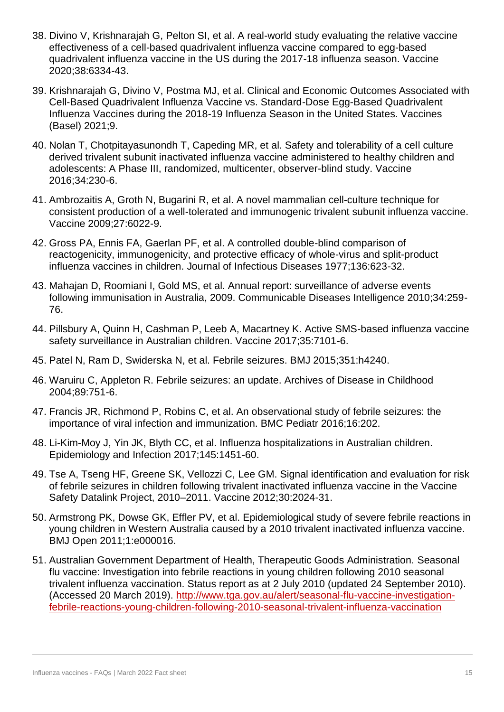- 38. Divino V, Krishnarajah G, Pelton SI, et al. A real-world study evaluating the relative vaccine effectiveness of a cell-based quadrivalent influenza vaccine compared to egg-based quadrivalent influenza vaccine in the US during the 2017-18 influenza season. Vaccine 2020;38:6334-43.
- 39. Krishnarajah G, Divino V, Postma MJ, et al. Clinical and Economic Outcomes Associated with Cell-Based Quadrivalent Influenza Vaccine vs. Standard-Dose Egg-Based Quadrivalent Influenza Vaccines during the 2018-19 Influenza Season in the United States. Vaccines (Basel) 2021;9.
- 40. Nolan T, Chotpitayasunondh T, Capeding MR, et al. Safety and tolerability of a cell culture derived trivalent subunit inactivated influenza vaccine administered to healthy children and adolescents: A Phase III, randomized, multicenter, observer-blind study. Vaccine 2016;34:230-6.
- 41. Ambrozaitis A, Groth N, Bugarini R, et al. A novel mammalian cell-culture technique for consistent production of a well-tolerated and immunogenic trivalent subunit influenza vaccine. Vaccine 2009;27:6022-9.
- 42. Gross PA, Ennis FA, Gaerlan PF, et al. A controlled double-blind comparison of reactogenicity, immunogenicity, and protective efficacy of whole-virus and split-product influenza vaccines in children. Journal of Infectious Diseases 1977;136:623-32.
- 43. Mahajan D, Roomiani I, Gold MS, et al. Annual report: surveillance of adverse events following immunisation in Australia, 2009. Communicable Diseases Intelligence 2010;34:259- 76.
- 44. Pillsbury A, Quinn H, Cashman P, Leeb A, Macartney K. Active SMS-based influenza vaccine safety surveillance in Australian children. Vaccine 2017;35:7101-6.
- 45. Patel N, Ram D, Swiderska N, et al. Febrile seizures. BMJ 2015;351:h4240.
- 46. Waruiru C, Appleton R. Febrile seizures: an update. Archives of Disease in Childhood 2004;89:751-6.
- 47. Francis JR, Richmond P, Robins C, et al. An observational study of febrile seizures: the importance of viral infection and immunization. BMC Pediatr 2016;16:202.
- 48. Li-Kim-Moy J, Yin JK, Blyth CC, et al. Influenza hospitalizations in Australian children. Epidemiology and Infection 2017;145:1451-60.
- 49. Tse A, Tseng HF, Greene SK, Vellozzi C, Lee GM. Signal identification and evaluation for risk of febrile seizures in children following trivalent inactivated influenza vaccine in the Vaccine Safety Datalink Project, 2010–2011. Vaccine 2012;30:2024-31.
- 50. Armstrong PK, Dowse GK, Effler PV, et al. Epidemiological study of severe febrile reactions in young children in Western Australia caused by a 2010 trivalent inactivated influenza vaccine. BMJ Open 2011;1:e000016.
- 51. Australian Government Department of Health, Therapeutic Goods Administration. Seasonal flu vaccine: Investigation into febrile reactions in young children following 2010 seasonal trivalent influenza vaccination. Status report as at 2 July 2010 (updated 24 September 2010). (Accessed 20 March 2019). [http://www.tga.gov.au/alert/seasonal-flu-vaccine-investigation](http://www.tga.gov.au/alert/seasonal-flu-vaccine-investigation-febrile-reactions-young-children-following-2010-seasonal-trivalent-influenza-vaccination)[febrile-reactions-young-children-following-2010-seasonal-trivalent-influenza-vaccination](http://www.tga.gov.au/alert/seasonal-flu-vaccine-investigation-febrile-reactions-young-children-following-2010-seasonal-trivalent-influenza-vaccination)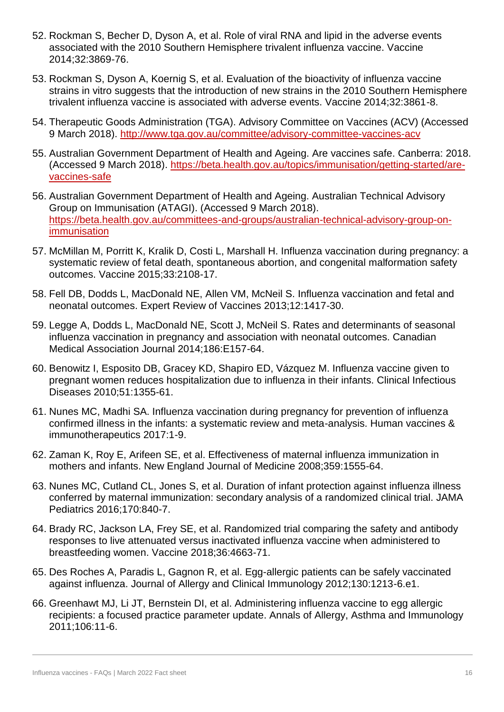- 52. Rockman S, Becher D, Dyson A, et al. Role of viral RNA and lipid in the adverse events associated with the 2010 Southern Hemisphere trivalent influenza vaccine. Vaccine 2014;32:3869-76.
- 53. Rockman S, Dyson A, Koernig S, et al. Evaluation of the bioactivity of influenza vaccine strains in vitro suggests that the introduction of new strains in the 2010 Southern Hemisphere trivalent influenza vaccine is associated with adverse events. Vaccine 2014;32:3861-8.
- 54. Therapeutic Goods Administration (TGA). Advisory Committee on Vaccines (ACV) (Accessed 9 March 2018).<http://www.tga.gov.au/committee/advisory-committee-vaccines-acv>
- 55. Australian Government Department of Health and Ageing. Are vaccines safe. Canberra: 2018. (Accessed 9 March 2018). [https://beta.health.gov.au/topics/immunisation/getting-started/are](https://beta.health.gov.au/topics/immunisation/getting-started/are-vaccines-safe)[vaccines-safe](https://beta.health.gov.au/topics/immunisation/getting-started/are-vaccines-safe)
- 56. Australian Government Department of Health and Ageing. Australian Technical Advisory Group on Immunisation (ATAGI). (Accessed 9 March 2018). [https://beta.health.gov.au/committees-and-groups/australian-technical-advisory-group-on](https://beta.health.gov.au/committees-and-groups/australian-technical-advisory-group-on-immunisation)**[immunisation](https://beta.health.gov.au/committees-and-groups/australian-technical-advisory-group-on-immunisation)**
- 57. McMillan M, Porritt K, Kralik D, Costi L, Marshall H. Influenza vaccination during pregnancy: a systematic review of fetal death, spontaneous abortion, and congenital malformation safety outcomes. Vaccine 2015;33:2108-17.
- 58. Fell DB, Dodds L, MacDonald NE, Allen VM, McNeil S. Influenza vaccination and fetal and neonatal outcomes. Expert Review of Vaccines 2013;12:1417-30.
- 59. Legge A, Dodds L, MacDonald NE, Scott J, McNeil S. Rates and determinants of seasonal influenza vaccination in pregnancy and association with neonatal outcomes. Canadian Medical Association Journal 2014;186:E157-64.
- 60. Benowitz I, Esposito DB, Gracey KD, Shapiro ED, Vázquez M. Influenza vaccine given to pregnant women reduces hospitalization due to influenza in their infants. Clinical Infectious Diseases 2010;51:1355-61.
- 61. Nunes MC, Madhi SA. Influenza vaccination during pregnancy for prevention of influenza confirmed illness in the infants: a systematic review and meta-analysis. Human vaccines & immunotherapeutics 2017:1-9.
- 62. Zaman K, Roy E, Arifeen SE, et al. Effectiveness of maternal influenza immunization in mothers and infants. New England Journal of Medicine 2008;359:1555-64.
- 63. Nunes MC, Cutland CL, Jones S, et al. Duration of infant protection against influenza illness conferred by maternal immunization: secondary analysis of a randomized clinical trial. JAMA Pediatrics 2016;170:840-7.
- 64. Brady RC, Jackson LA, Frey SE, et al. Randomized trial comparing the safety and antibody responses to live attenuated versus inactivated influenza vaccine when administered to breastfeeding women. Vaccine 2018;36:4663-71.
- 65. Des Roches A, Paradis L, Gagnon R, et al. Egg-allergic patients can be safely vaccinated against influenza. Journal of Allergy and Clinical Immunology 2012;130:1213-6.e1.
- 66. Greenhawt MJ, Li JT, Bernstein DI, et al. Administering influenza vaccine to egg allergic recipients: a focused practice parameter update. Annals of Allergy, Asthma and Immunology 2011;106:11-6.